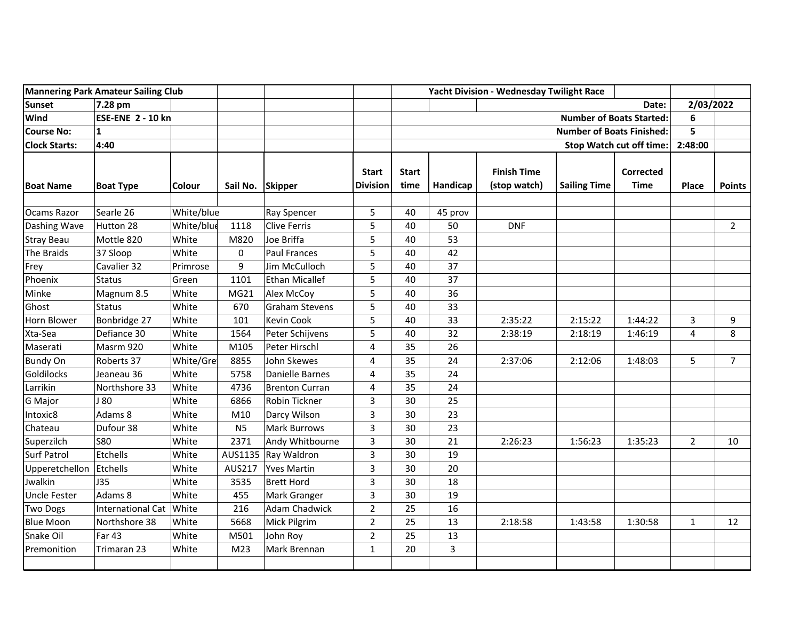| <b>Mannering Park Amateur Sailing Club</b> |                           |               |                  |                       |                                 | Yacht Division - Wednesday Twilight Race |                |                                    |                     |                                 |                |                |
|--------------------------------------------|---------------------------|---------------|------------------|-----------------------|---------------------------------|------------------------------------------|----------------|------------------------------------|---------------------|---------------------------------|----------------|----------------|
| <b>Sunset</b>                              | 7.28 pm                   |               |                  |                       |                                 |                                          |                |                                    |                     | Date:                           | 2/03/2022      |                |
| Wind                                       | <b>ESE-ENE 2 - 10 kn</b>  |               |                  |                       |                                 | <b>Number of Boats Started:</b>          |                |                                    | 6                   |                                 |                |                |
| <b>Course No:</b>                          | $\mathbf{1}$              |               |                  |                       |                                 | <b>Number of Boats Finished:</b>         |                |                                    | 5                   |                                 |                |                |
| <b>Clock Starts:</b>                       | 4:40                      |               |                  |                       |                                 | <b>Stop Watch cut off time:</b>          |                |                                    | 2:48:00             |                                 |                |                |
| <b>Boat Name</b>                           | <b>Boat Type</b>          | <b>Colour</b> | Sail No. Skipper |                       | <b>Start</b><br><b>Division</b> | <b>Start</b><br>time                     | Handicap       | <b>Finish Time</b><br>(stop watch) | <b>Sailing Time</b> | <b>Corrected</b><br><b>Time</b> | <b>Place</b>   | <b>Points</b>  |
| Ocams Razor                                | Searle 26                 | White/blue    |                  | Ray Spencer           | 5                               | 40                                       | 45 prov        |                                    |                     |                                 |                |                |
| Dashing Wave                               | Hutton 28                 | White/blue    | 1118             | Clive Ferris          | 5                               | 40                                       | 50             | <b>DNF</b>                         |                     |                                 |                | $\overline{2}$ |
| <b>Stray Beau</b>                          | Mottle 820                | White         | M820             | Joe Briffa            | 5                               | 40                                       | 53             |                                    |                     |                                 |                |                |
| The Braids                                 | 37 Sloop                  | White         | 0                | <b>Paul Frances</b>   | 5                               | 40                                       | 42             |                                    |                     |                                 |                |                |
| Frey                                       | Cavalier 32               | Primrose      | 9                | Jim McCulloch         | 5                               | 40                                       | 37             |                                    |                     |                                 |                |                |
| Phoenix                                    | <b>Status</b>             | Green         | 1101             | Ethan Micallef        | 5                               | 40                                       | 37             |                                    |                     |                                 |                |                |
| Minke                                      | Magnum 8.5                | White         | MG21             | Alex McCoy            | 5                               | 40                                       | 36             |                                    |                     |                                 |                |                |
| Ghost                                      | Status                    | White         | 670              | Graham Stevens        | 5                               | 40                                       | 33             |                                    |                     |                                 |                |                |
| <b>Horn Blower</b>                         | Bonbridge 27              | White         | 101              | Kevin Cook            | 5                               | 40                                       | 33             | 2:35:22                            | 2:15:22             | 1:44:22                         | 3              | 9              |
| Xta-Sea                                    | Defiance 30               | White         | 1564             | Peter Schijvens       | 5                               | 40                                       | 32             | 2:38:19                            | 2:18:19             | 1:46:19                         | 4              | 8              |
| Maserati                                   | Masrm 920                 | White         | M105             | Peter Hirschl         | 4                               | 35                                       | 26             |                                    |                     |                                 |                |                |
| <b>Bundy On</b>                            | Roberts 37                | White/Gre     | 8855             | John Skewes           | 4                               | 35                                       | 24             | 2:37:06                            | 2:12:06             | 1:48:03                         | 5              | $\overline{7}$ |
| Goldilocks                                 | Jeaneau 36                | White         | 5758             | Danielle Barnes       | 4                               | 35                                       | 24             |                                    |                     |                                 |                |                |
| Larrikin                                   | Northshore 33             | White         | 4736             | <b>Brenton Curran</b> | 4                               | 35                                       | 24             |                                    |                     |                                 |                |                |
| <b>G</b> Major                             | J80                       | White         | 6866             | Robin Tickner         | 3                               | 30                                       | 25             |                                    |                     |                                 |                |                |
| Intoxic8                                   | Adams 8                   | White         | M10              | Darcy Wilson          | 3                               | 30                                       | 23             |                                    |                     |                                 |                |                |
| Chateau                                    | Dufour 38                 | White         | <b>N5</b>        | Mark Burrows          | 3                               | 30                                       | 23             |                                    |                     |                                 |                |                |
| Superzilch                                 | <b>S80</b>                | White         | 2371             | Andy Whitbourne       | 3                               | 30                                       | 21             | 2:26:23                            | 1:56:23             | 1:35:23                         | $\overline{2}$ | 10             |
| <b>Surf Patrol</b>                         | Etchells                  | White         | AUS1135          | Ray Waldron           | 3                               | 30                                       | 19             |                                    |                     |                                 |                |                |
| Upperetchellon                             | Etchells                  | White         | AUS217           | <b>Yves Martin</b>    | 3                               | 30                                       | 20             |                                    |                     |                                 |                |                |
| Jwalkin                                    | <b>J35</b>                | White         | 3535             | <b>Brett Hord</b>     | 3                               | 30                                       | 18             |                                    |                     |                                 |                |                |
| <b>Uncle Fester</b>                        | Adams 8                   | White         | 455              | Mark Granger          | 3                               | 30                                       | 19             |                                    |                     |                                 |                |                |
| <b>Two Dogs</b>                            | International Cat   White |               | 216              | Adam Chadwick         | $\overline{2}$                  | 25                                       | 16             |                                    |                     |                                 |                |                |
| <b>Blue Moon</b>                           | Northshore 38             | White         | 5668             | Mick Pilgrim          | $\overline{2}$                  | 25                                       | 13             | 2:18:58                            | 1:43:58             | 1:30:58                         | $\mathbf{1}$   | 12             |
| Snake Oil                                  | Far 43                    | White         | M501             | John Roy              | $\overline{2}$                  | 25                                       | 13             |                                    |                     |                                 |                |                |
| Premonition                                | Trimaran 23               | White         | M <sub>23</sub>  | Mark Brennan          | $\mathbf{1}$                    | 20                                       | $\overline{3}$ |                                    |                     |                                 |                |                |
|                                            |                           |               |                  |                       |                                 |                                          |                |                                    |                     |                                 |                |                |